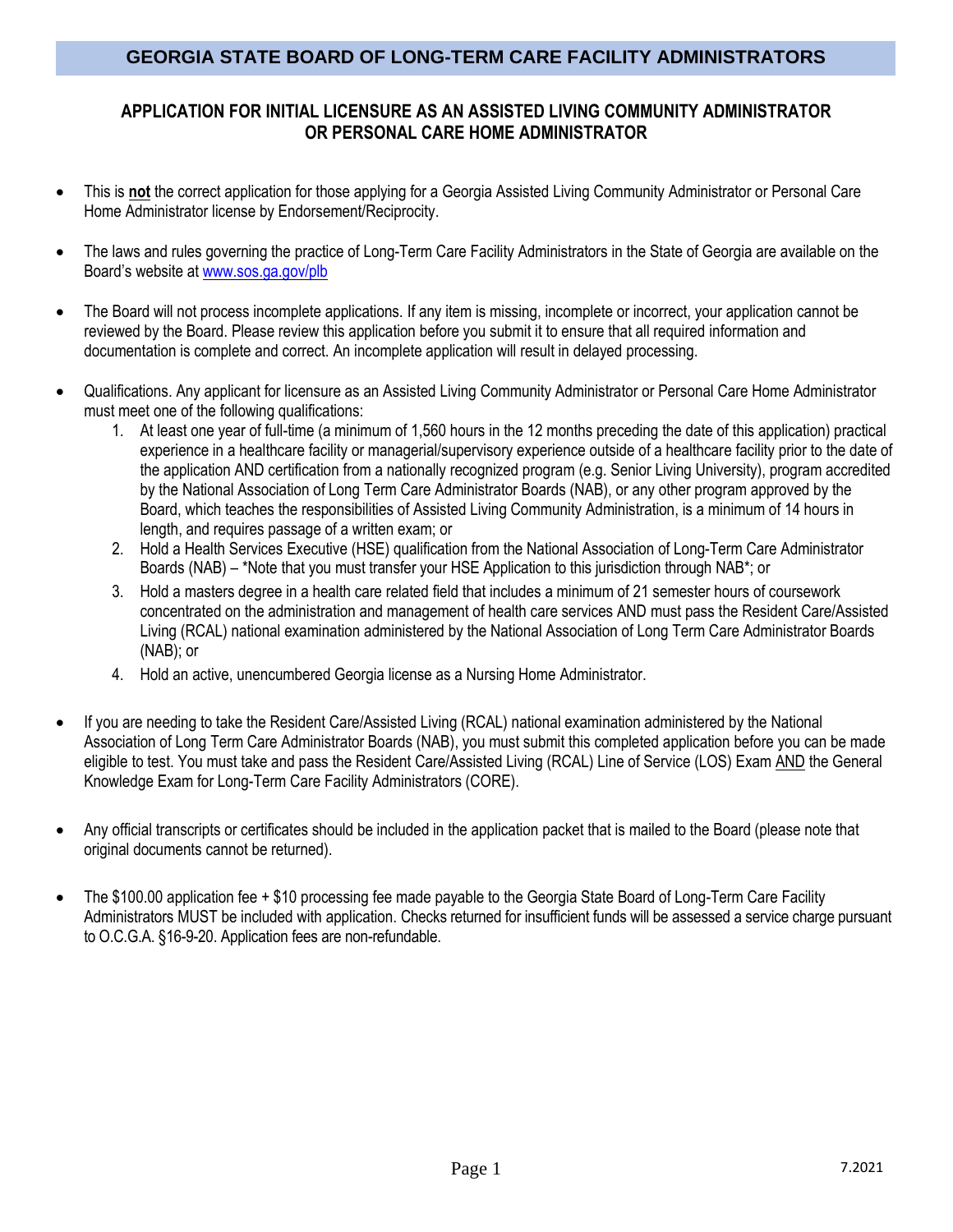## **APPLICATION FOR INITIAL LICENSURE AS AN ASSISTED LIVING COMMUNITY ADMINISTRATOR OR PERSONAL CARE HOME ADMINISTRATOR**

- This is **not** the correct application for those applying for a Georgia Assisted Living Community Administrator or Personal Care Home Administrator license by Endorsement/Reciprocity.
- The laws and rules governing the practice of Long-Term Care Facility Administrators in the State of Georgia are available on the Board's website at [www.sos.ga.gov/plb](http://www.sos.ga.gov/plb)
- The Board will not process incomplete applications. If any item is missing, incomplete or incorrect, your application cannot be reviewed by the Board. Please review this application before you submit it to ensure that all required information and documentation is complete and correct. An incomplete application will result in delayed processing.
- Qualifications. Any applicant for licensure as an Assisted Living Community Administrator or Personal Care Home Administrator must meet one of the following qualifications:
	- 1. At least one year of full-time (a minimum of 1,560 hours in the 12 months preceding the date of this application) practical experience in a healthcare facility or managerial/supervisory experience outside of a healthcare facility prior to the date of the application AND certification from a nationally recognized program (e.g. Senior Living University), program accredited by the National Association of Long Term Care Administrator Boards (NAB), or any other program approved by the Board, which teaches the responsibilities of Assisted Living Community Administration, is a minimum of 14 hours in length, and requires passage of a written exam; or
	- 2. Hold a Health Services Executive (HSE) qualification from the National Association of Long-Term Care Administrator Boards (NAB) – \*Note that you must transfer your HSE Application to this jurisdiction through NAB\*; or
	- 3. Hold a masters degree in a health care related field that includes a minimum of 21 semester hours of coursework concentrated on the administration and management of health care services AND must pass the Resident Care/Assisted Living (RCAL) national examination administered by the National Association of Long Term Care Administrator Boards (NAB); or
	- 4. Hold an active, unencumbered Georgia license as a Nursing Home Administrator.
- If you are needing to take the Resident Care/Assisted Living (RCAL) national examination administered by the National Association of Long Term Care Administrator Boards (NAB), you must submit this completed application before you can be made eligible to test. You must take and pass the Resident Care/Assisted Living (RCAL) Line of Service (LOS) Exam AND the General Knowledge Exam for Long-Term Care Facility Administrators (CORE).
- Any official transcripts or certificates should be included in the application packet that is mailed to the Board (please note that original documents cannot be returned).
- The \$100.00 application fee + \$10 processing fee made payable to the Georgia State Board of Long-Term Care Facility Administrators MUST be included with application. Checks returned for insufficient funds will be assessed a service charge pursuant to O.C.G.A. §16-9-20. Application fees are non-refundable.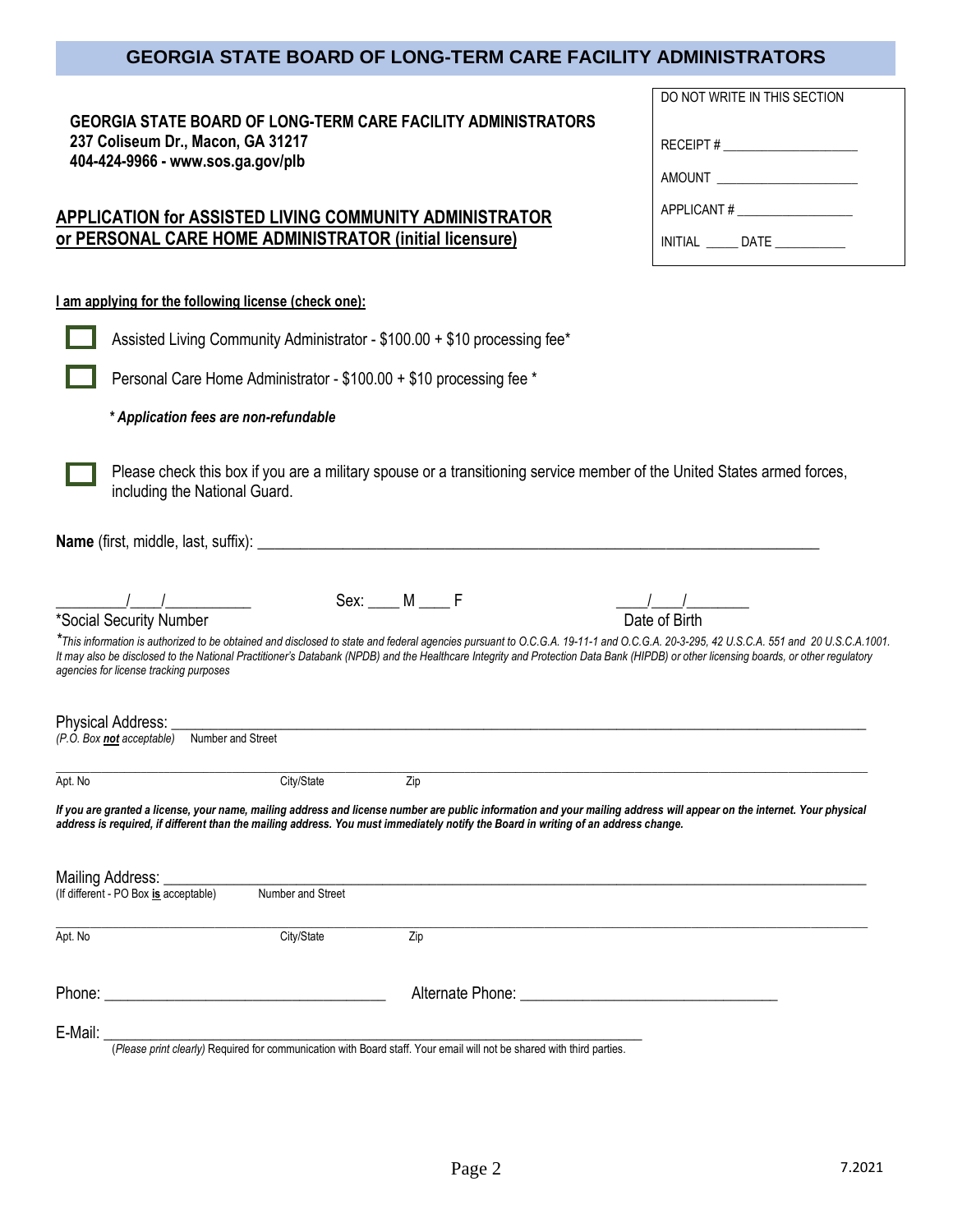DO NOT WRITE IN THIS SECTION

RECEIPT # \_\_\_\_\_\_\_\_\_\_\_\_\_\_\_\_\_\_\_\_\_

AMOUNT \_\_\_\_\_\_\_\_\_\_\_\_\_\_\_\_\_\_\_\_\_\_

APPLICANT #

INITIAL DATE

| <b>GEORGIA STATE BOARD OF LONG-TERM CARE FACILITY ADMINISTRATORS</b> |  |
|----------------------------------------------------------------------|--|
| 237 Coliseum Dr., Macon, GA 31217                                    |  |
| 404-424-9966 - www.sos.ga.gov/plb                                    |  |

## **APPLICATION for ASSISTED LIVING COMMUNITY ADMINISTRATOR or PERSONAL CARE HOME ADMINISTRATOR (initial licensure)**

#### **I am applying for the following license (check one):**

|         |                                        | Assisted Living Community Administrator - \$100.00 + \$10 processing fee*                                                                                                                                                                                                                                                                                                   |                      |                                         |                                                 |  |
|---------|----------------------------------------|-----------------------------------------------------------------------------------------------------------------------------------------------------------------------------------------------------------------------------------------------------------------------------------------------------------------------------------------------------------------------------|----------------------|-----------------------------------------|-------------------------------------------------|--|
|         |                                        | Personal Care Home Administrator - \$100.00 + \$10 processing fee *                                                                                                                                                                                                                                                                                                         |                      |                                         |                                                 |  |
|         | * Application fees are non-refundable  |                                                                                                                                                                                                                                                                                                                                                                             |                      |                                         |                                                 |  |
|         | including the National Guard.          | Please check this box if you are a military spouse or a transitioning service member of the United States armed forces,                                                                                                                                                                                                                                                     |                      |                                         |                                                 |  |
|         |                                        |                                                                                                                                                                                                                                                                                                                                                                             |                      |                                         |                                                 |  |
|         |                                        |                                                                                                                                                                                                                                                                                                                                                                             | $Sex: \_\_\_M \_\_F$ |                                         | $\frac{1}{\sqrt{1-\frac{1}{2}}}\$ Date of Birth |  |
|         | agencies for license tracking purposes | *This information is authorized to be obtained and disclosed to state and federal agencies pursuant to O.C.G.A. 19-11-1 and O.C.G.A. 20-3-295, 42 U.S.C.A. 551 and 20 U.S.C.A.1001.<br>It may also be disclosed to the National Practitioner's Databank (NPDB) and the Healthcare Integrity and Protection Data Bank (HIPDB) or other licensing boards, or other regulatory |                      |                                         |                                                 |  |
|         |                                        |                                                                                                                                                                                                                                                                                                                                                                             |                      |                                         |                                                 |  |
| Apt. No |                                        | City/State                                                                                                                                                                                                                                                                                                                                                                  | Zip                  |                                         |                                                 |  |
|         |                                        | If you are granted a license, your name, mailing address and license number are public information and your mailing address will appear on the internet. Your physical<br>address is required, if different than the mailing address. You must immediately notify the Board in writing of an address change.                                                                |                      |                                         |                                                 |  |
|         | (If different - PO Box is acceptable)  |                                                                                                                                                                                                                                                                                                                                                                             |                      |                                         |                                                 |  |
| Apt. No |                                        | City/State                                                                                                                                                                                                                                                                                                                                                                  | Zip                  |                                         |                                                 |  |
|         |                                        |                                                                                                                                                                                                                                                                                                                                                                             |                      | Alternate Phone: <u>Alternate Phone</u> |                                                 |  |
| E-Mail: |                                        |                                                                                                                                                                                                                                                                                                                                                                             |                      |                                         |                                                 |  |

(*Please print clearly)* Required for communication with Board staff. Your email will not be shared with third parties.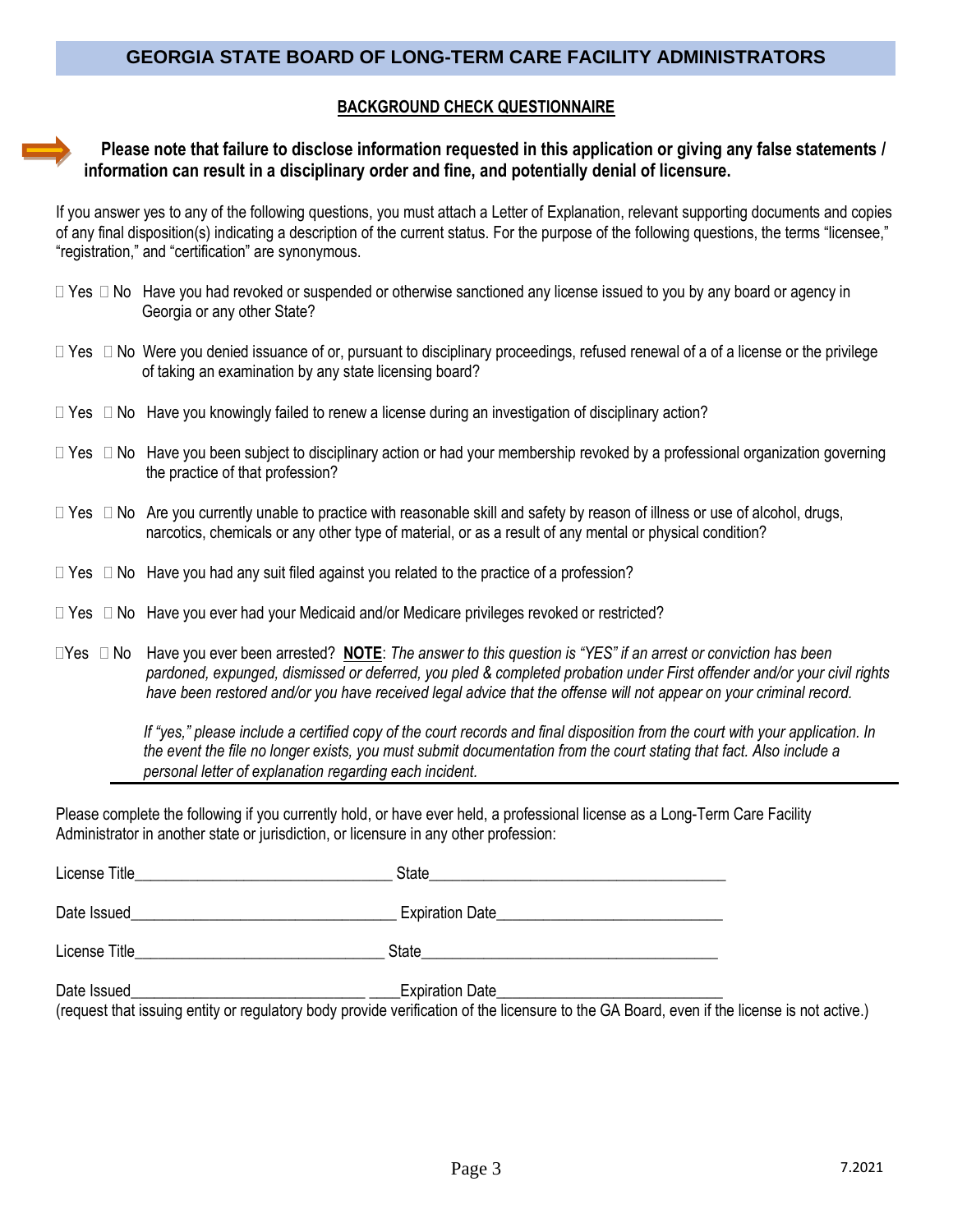#### **BACKGROUND CHECK QUESTIONNAIRE**

### **Please note that failure to disclose information requested in this application or giving any false statements / information can result in a disciplinary order and fine, and potentially denial of licensure.**

If you answer yes to any of the following questions, you must attach a Letter of Explanation, relevant supporting documents and copies of any final disposition(s) indicating a description of the current status. For the purpose of the following questions, the terms "licensee," "registration," and "certification" are synonymous.

- $\Box$  Yes  $\Box$  No Have you had revoked or suspended or otherwise sanctioned any license issued to you by any board or agency in Georgia or any other State?
- $\Box$  Yes  $\Box$  No Were you denied issuance of or, pursuant to disciplinary proceedings, refused renewal of a of a license or the privilege of taking an examination by any state licensing board?
- $\Box$  Yes  $\Box$  No Have you knowingly failed to renew a license during an investigation of disciplinary action?
- □ Yes □ No Have you been subject to disciplinary action or had your membership revoked by a professional organization governing the practice of that profession?
- $\Box$  Yes  $\Box$  No Are you currently unable to practice with reasonable skill and safety by reason of illness or use of alcohol, drugs, narcotics, chemicals or any other type of material, or as a result of any mental or physical condition?
- $\Box$  Yes  $\Box$  No Have you had any suit filed against you related to the practice of a profession?
- $\Box$  Yes  $\Box$  No Have you ever had your Medicaid and/or Medicare privileges revoked or restricted?
- Yes No Have you ever been arrested? **NOTE**: *The answer to this question is "YES" if an arrest or conviction has been pardoned, expunged, dismissed or deferred, you pled & completed probation under First offender and/or your civil rights have been restored and/or you have received legal advice that the offense will not appear on your criminal record.*

 *If "yes," please include a certified copy of the court records and final disposition from the court with your application. In the event the file no longer exists, you must submit documentation from the court stating that fact. Also include a personal letter of explanation regarding each incident.*

Please complete the following if you currently hold, or have ever held, a professional license as a Long-Term Care Facility Administrator in another state or jurisdiction, or licensure in any other profession:

| License Title <b>Example 20</b> | State                                                                                                                                                                |  |
|---------------------------------|----------------------------------------------------------------------------------------------------------------------------------------------------------------------|--|
| Date Issued                     | Expiration Date                                                                                                                                                      |  |
| License Title                   | State                                                                                                                                                                |  |
| Date Issued                     | <b>Expiration Date</b><br>(request that issuing entity or regulatory body provide verification of the licensure to the GA Board, even if the license is not active.) |  |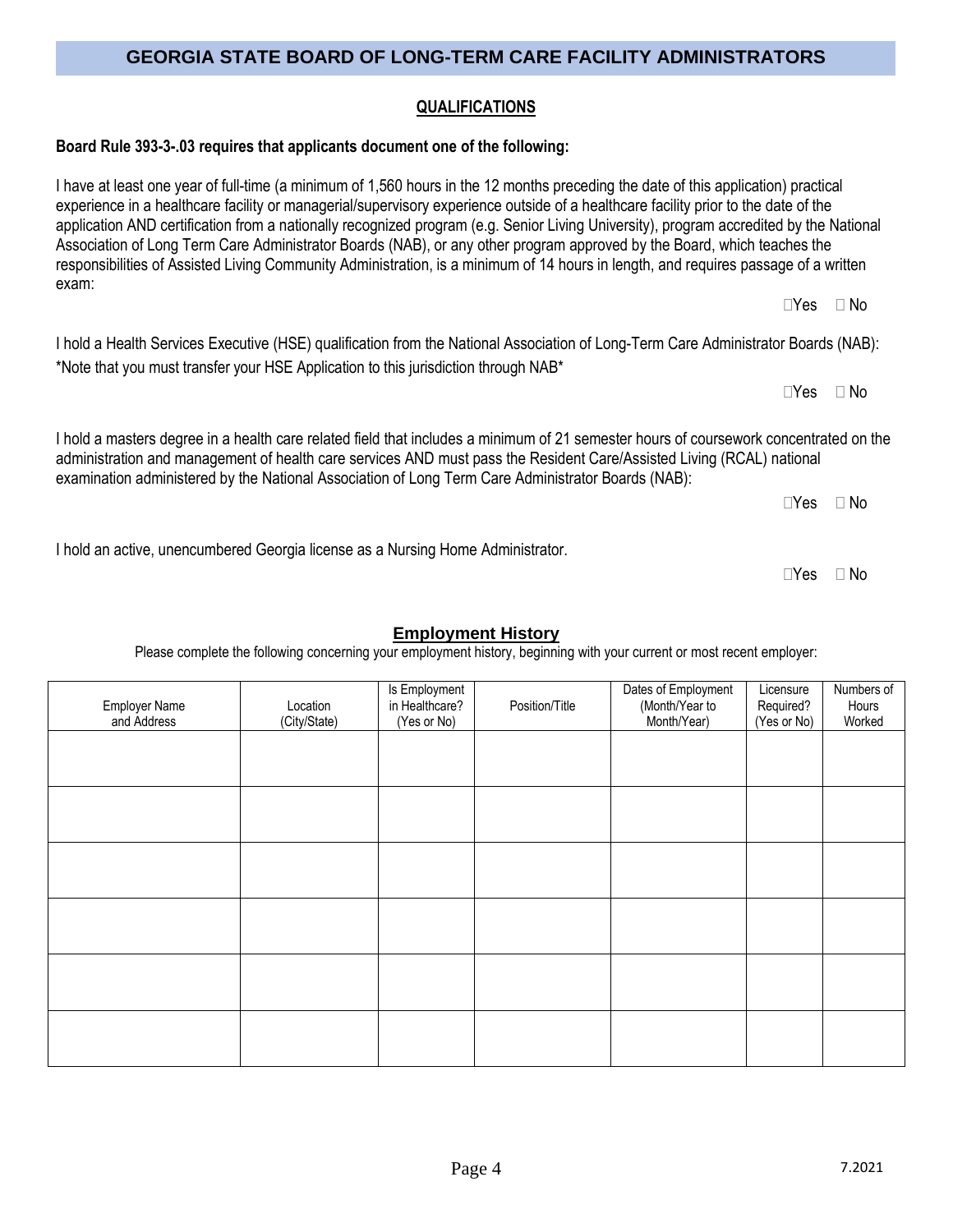### **QUALIFICATIONS**

### **Board Rule 393-3-.03 requires that applicants document one of the following:**

I have at least one year of full-time (a minimum of 1,560 hours in the 12 months preceding the date of this application) practical experience in a healthcare facility or managerial/supervisory experience outside of a healthcare facility prior to the date of the application AND certification from a nationally recognized program (e.g. Senior Living University), program accredited by the National Association of Long Term Care Administrator Boards (NAB), or any other program approved by the Board, which teaches the responsibilities of Assisted Living Community Administration, is a minimum of 14 hours in length, and requires passage of a written exam:

I hold a Health Services Executive (HSE) qualification from the National Association of Long-Term Care Administrator Boards (NAB): \*Note that you must transfer your HSE Application to this jurisdiction through NAB\*

I hold a masters degree in a health care related field that includes a minimum of 21 semester hours of coursework concentrated on the administration and management of health care services AND must pass the Resident Care/Assisted Living (RCAL) national

examination administered by the National Association of Long Term Care Administrator Boards (NAB):  $\Box$ Yes  $\Box$  No

I hold an active, unencumbered Georgia license as a Nursing Home Administrator.

## **Employment History**

Please complete the following concerning your employment history, beginning with your current or most recent employer:

| <b>Employer Name</b><br>and Address | Location<br>(City/State) | Is Employment<br>in Healthcare?<br>(Yes or No) | Position/Title | Dates of Employment<br>(Month/Year to<br>Month/Year) | Licensure<br>Required?<br>(Yes or No) | Numbers of<br>Hours<br>Worked |
|-------------------------------------|--------------------------|------------------------------------------------|----------------|------------------------------------------------------|---------------------------------------|-------------------------------|
|                                     |                          |                                                |                |                                                      |                                       |                               |
|                                     |                          |                                                |                |                                                      |                                       |                               |
|                                     |                          |                                                |                |                                                      |                                       |                               |
|                                     |                          |                                                |                |                                                      |                                       |                               |
|                                     |                          |                                                |                |                                                      |                                       |                               |
|                                     |                          |                                                |                |                                                      |                                       |                               |
|                                     |                          |                                                |                |                                                      |                                       |                               |

 $\Box$ Yes  $\Box$  No

 $\Box$ Yes  $\Box$  No

 $\Box$ Yes  $\Box$  No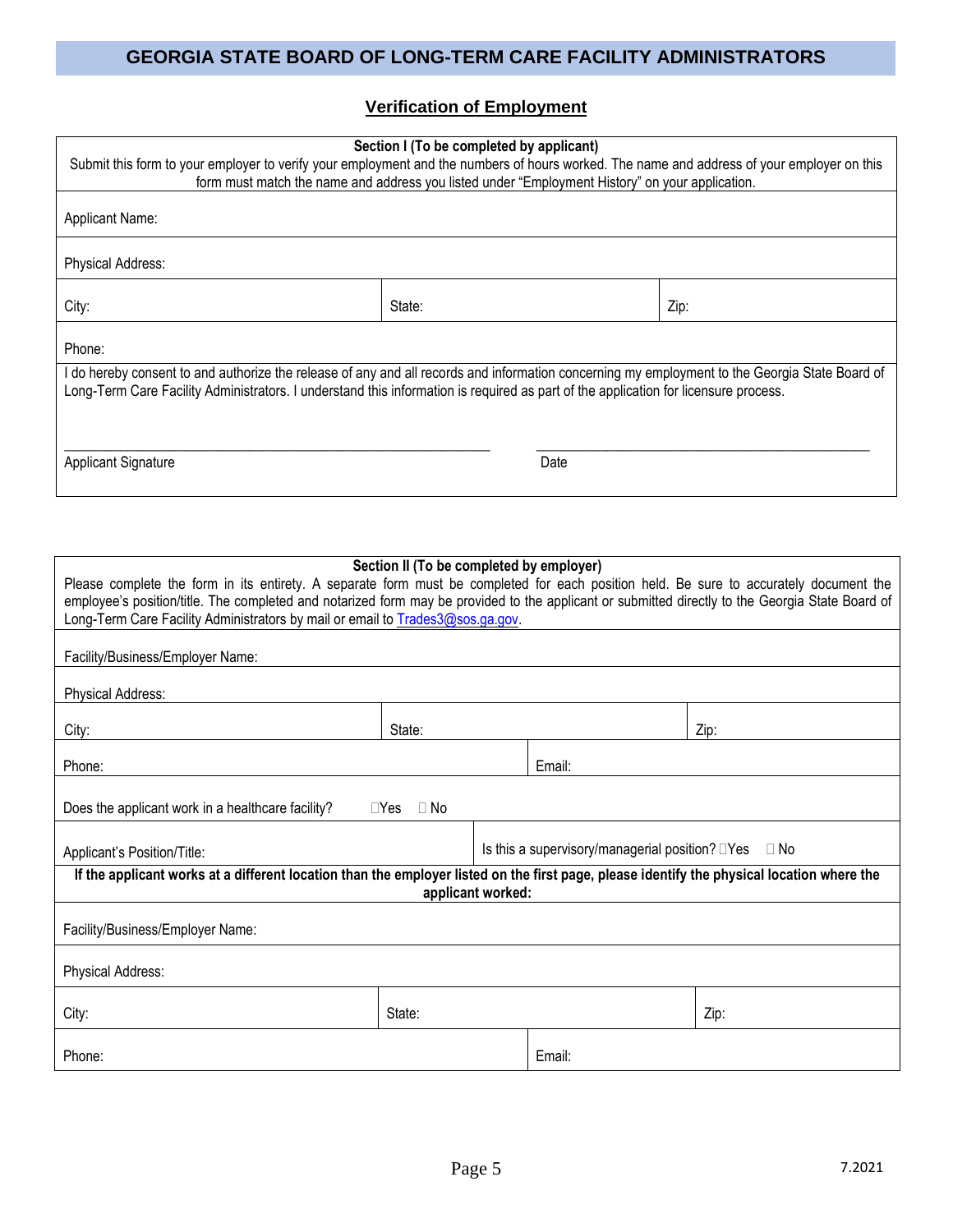## **Verification of Employment**

| Section I (To be completed by applicant)<br>Submit this form to your employer to verify your employment and the numbers of hours worked. The name and address of your employer on this<br>form must match the name and address you listed under "Employment History" on your application. |        |      |      |  |
|-------------------------------------------------------------------------------------------------------------------------------------------------------------------------------------------------------------------------------------------------------------------------------------------|--------|------|------|--|
| Applicant Name:                                                                                                                                                                                                                                                                           |        |      |      |  |
| <b>Physical Address:</b>                                                                                                                                                                                                                                                                  |        |      |      |  |
| City:                                                                                                                                                                                                                                                                                     | State: |      | Zip: |  |
| Phone:                                                                                                                                                                                                                                                                                    |        |      |      |  |
| I do hereby consent to and authorize the release of any and all records and information concerning my employment to the Georgia State Board of<br>Long-Term Care Facility Administrators. I understand this information is required as part of the application for licensure process.     |        |      |      |  |
| <b>Applicant Signature</b>                                                                                                                                                                                                                                                                |        | Date |      |  |

| Section II (To be completed by employer)<br>Please complete the form in its entirety. A separate form must be completed for each position held. Be sure to accurately document the<br>employee's position/title. The completed and notarized form may be provided to the applicant or submitted directly to the Georgia State Board of<br>Long-Term Care Facility Administrators by mail or email to Trades3@sos.ga.gov. |                                                                       |  |        |      |
|--------------------------------------------------------------------------------------------------------------------------------------------------------------------------------------------------------------------------------------------------------------------------------------------------------------------------------------------------------------------------------------------------------------------------|-----------------------------------------------------------------------|--|--------|------|
| Facility/Business/Employer Name:                                                                                                                                                                                                                                                                                                                                                                                         |                                                                       |  |        |      |
| Physical Address:                                                                                                                                                                                                                                                                                                                                                                                                        |                                                                       |  |        |      |
| City:                                                                                                                                                                                                                                                                                                                                                                                                                    | State:                                                                |  |        | Zip: |
| Phone:                                                                                                                                                                                                                                                                                                                                                                                                                   |                                                                       |  | Email: |      |
| Does the applicant work in a healthcare facility?                                                                                                                                                                                                                                                                                                                                                                        | $\Box Y$ es<br>$\Box$ No                                              |  |        |      |
| Applicant's Position/Title:                                                                                                                                                                                                                                                                                                                                                                                              | Is this a supervisory/managerial position? $\square$ Yes<br>$\Box$ No |  |        |      |
| If the applicant works at a different location than the employer listed on the first page, please identify the physical location where the                                                                                                                                                                                                                                                                               | applicant worked:                                                     |  |        |      |
| Facility/Business/Employer Name:                                                                                                                                                                                                                                                                                                                                                                                         |                                                                       |  |        |      |
| Physical Address:                                                                                                                                                                                                                                                                                                                                                                                                        |                                                                       |  |        |      |
| City:                                                                                                                                                                                                                                                                                                                                                                                                                    | State:                                                                |  |        | Zip: |
| Phone:                                                                                                                                                                                                                                                                                                                                                                                                                   |                                                                       |  | Email: |      |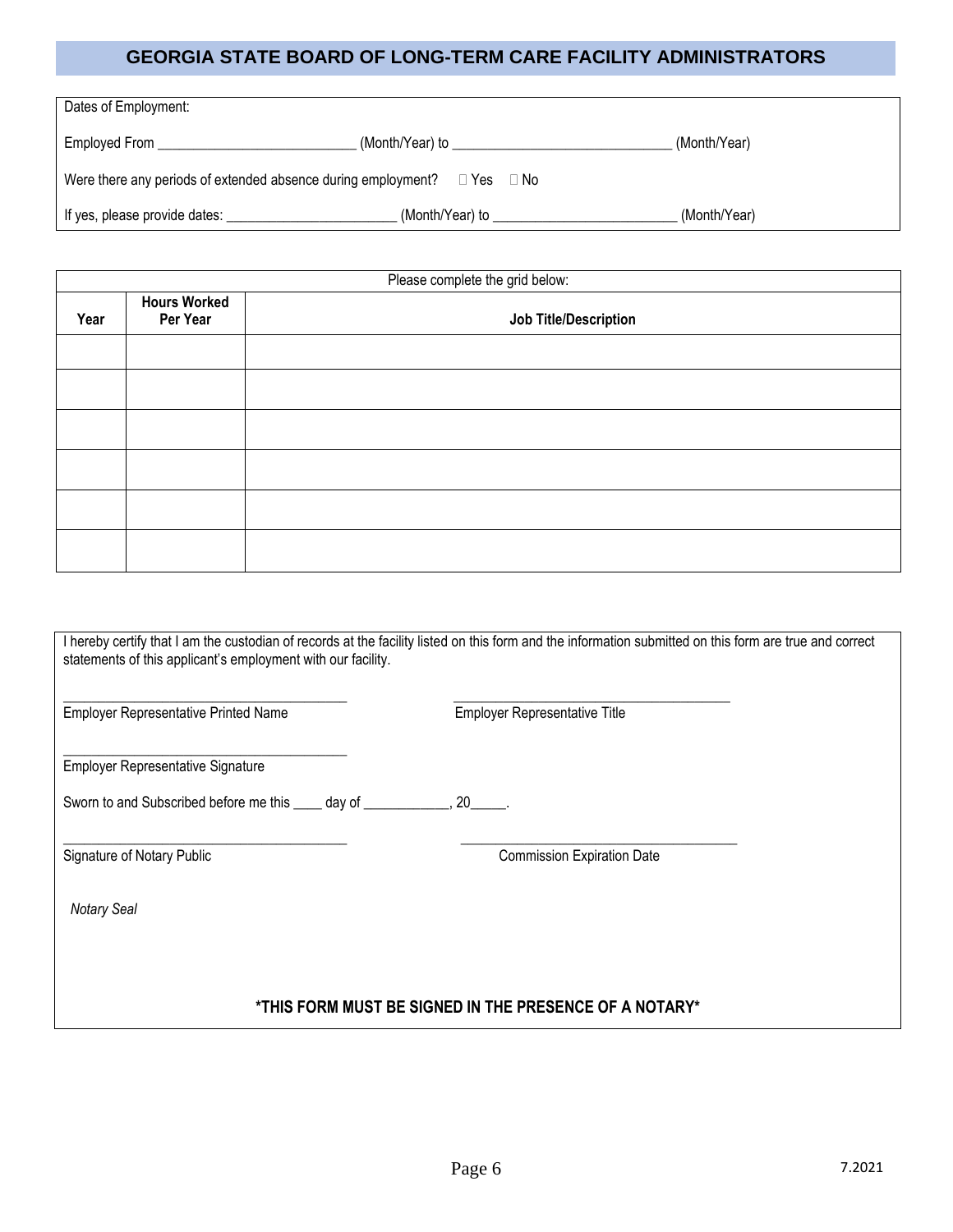| Dates of Employment:                                          |                  |              |
|---------------------------------------------------------------|------------------|--------------|
| Employed From                                                 | (Month/Year) to  | (Month/Year) |
| Were there any periods of extended absence during employment? | □ Yes i<br>⊟ No∶ |              |
| If yes, please provide dates:                                 | (Month/Year) to  | (Month/Year) |

|                                                                  | Please complete the grid below: |  |  |  |  |
|------------------------------------------------------------------|---------------------------------|--|--|--|--|
| <b>Hours Worked</b><br>Per Year<br>Job Title/Description<br>Year |                                 |  |  |  |  |
|                                                                  |                                 |  |  |  |  |
|                                                                  |                                 |  |  |  |  |
|                                                                  |                                 |  |  |  |  |
|                                                                  |                                 |  |  |  |  |
|                                                                  |                                 |  |  |  |  |
|                                                                  |                                 |  |  |  |  |
|                                                                  |                                 |  |  |  |  |

| statements of this applicant's employment with our facility. | I hereby certify that I am the custodian of records at the facility listed on this form and the information submitted on this form are true and correct |
|--------------------------------------------------------------|---------------------------------------------------------------------------------------------------------------------------------------------------------|
| <b>Employer Representative Printed Name</b>                  | <b>Employer Representative Title</b>                                                                                                                    |
| <b>Employer Representative Signature</b>                     |                                                                                                                                                         |
| Sworn to and Subscribed before me this _____ day of          | $20$ .                                                                                                                                                  |
| Signature of Notary Public                                   | <b>Commission Expiration Date</b>                                                                                                                       |
| <b>Notary Seal</b>                                           |                                                                                                                                                         |
|                                                              |                                                                                                                                                         |
|                                                              | *THIS FORM MUST BE SIGNED IN THE PRESENCE OF A NOTARY*                                                                                                  |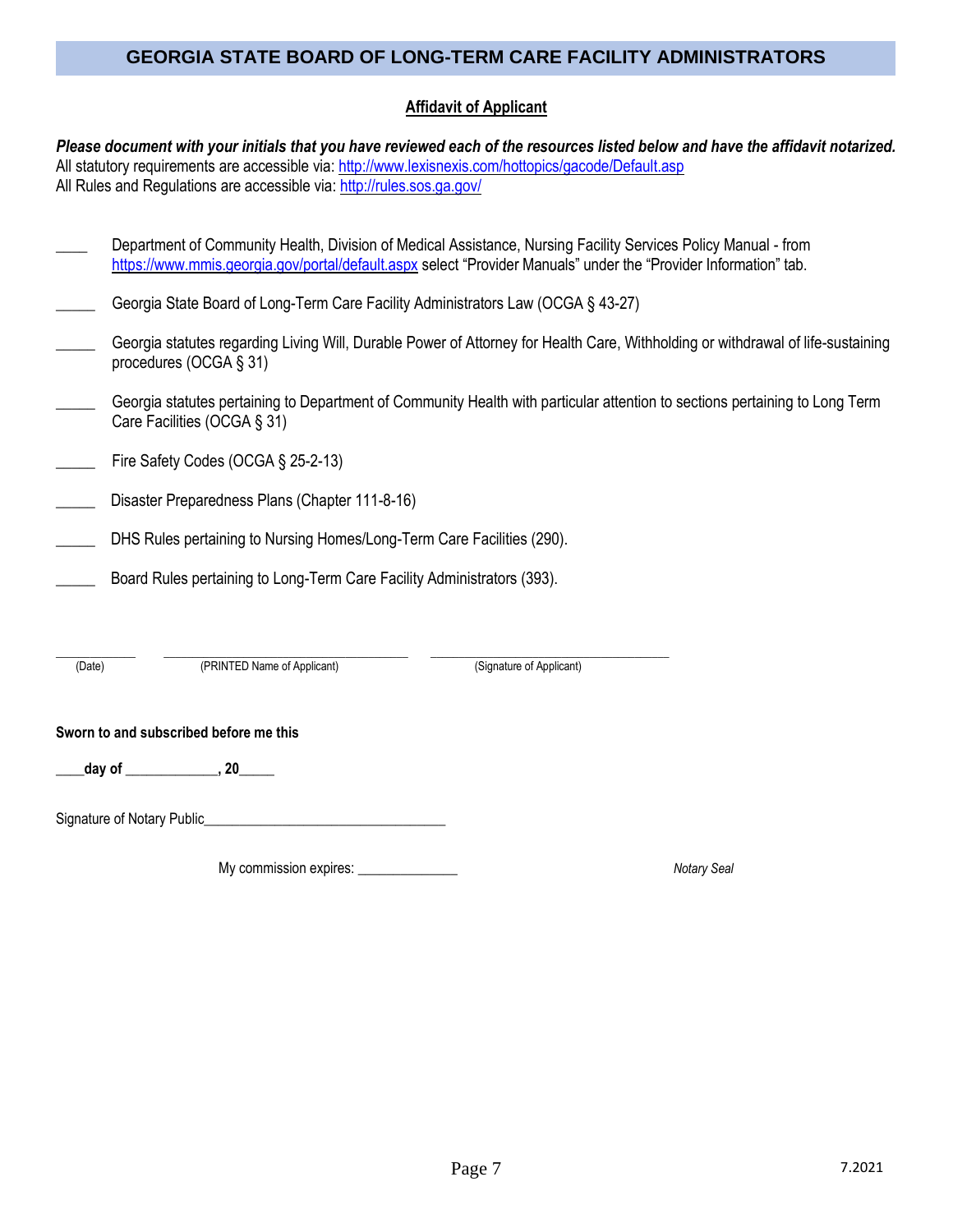### **Affidavit of Applicant**

*Please document with your initials that you have reviewed each of the resources listed below and have the affidavit notarized.*  All statutory requirements are accessible via: <http://www.lexisnexis.com/hottopics/gacode/Default.asp> All Rules and Regulations are accessible via[: http://rules.sos.ga.gov/](http://rules.sos.ga.gov/)

| Department of Community Health, Division of Medical Assistance, Nursing Facility Services Policy Manual - from   |  |  |  |
|------------------------------------------------------------------------------------------------------------------|--|--|--|
| https://www.mmis.georgia.gov/portal/default.aspx select "Provider Manuals" under the "Provider Information" tab. |  |  |  |

|  | Georgia State Board of Long-Term Care Facility Administrators Law (OCGA § 43-27) |  |  |
|--|----------------------------------------------------------------------------------|--|--|
|  |                                                                                  |  |  |

- Georgia statutes regarding Living Will, Durable Power of Attorney for Health Care, Withholding or withdrawal of life-sustaining procedures (OCGA § 31)
- Georgia statutes pertaining to Department of Community Health with particular attention to sections pertaining to Long Term Care Facilities (OCGA § 31)
- Fire Safety Codes (OCGA § 25-2-13)
- Disaster Preparedness Plans (Chapter 111-8-16)
- DHS Rules pertaining to Nursing Homes/Long-Term Care Facilities (290).
- Board Rules pertaining to Long-Term Care Facility Administrators (393).

| Date) | PRIN<br>' Applicant)<br>⊧Name of . | : Applicanti<br>'Signature of J |  |
|-------|------------------------------------|---------------------------------|--|

(Date) (PRINTED Name of Applicant) (Signature of Applicant)

#### **Sworn to and subscribed before me this**

**\_\_\_\_day of \_\_\_\_\_\_\_\_\_\_\_\_\_, 20\_\_\_\_\_**

Signature of Notary Public\_\_\_\_\_\_\_\_\_\_\_\_\_\_\_\_\_\_\_\_\_\_\_\_\_\_\_\_\_\_\_\_\_\_

My commission expires: \_\_\_\_\_\_\_\_\_\_\_\_\_\_ *Notary Seal*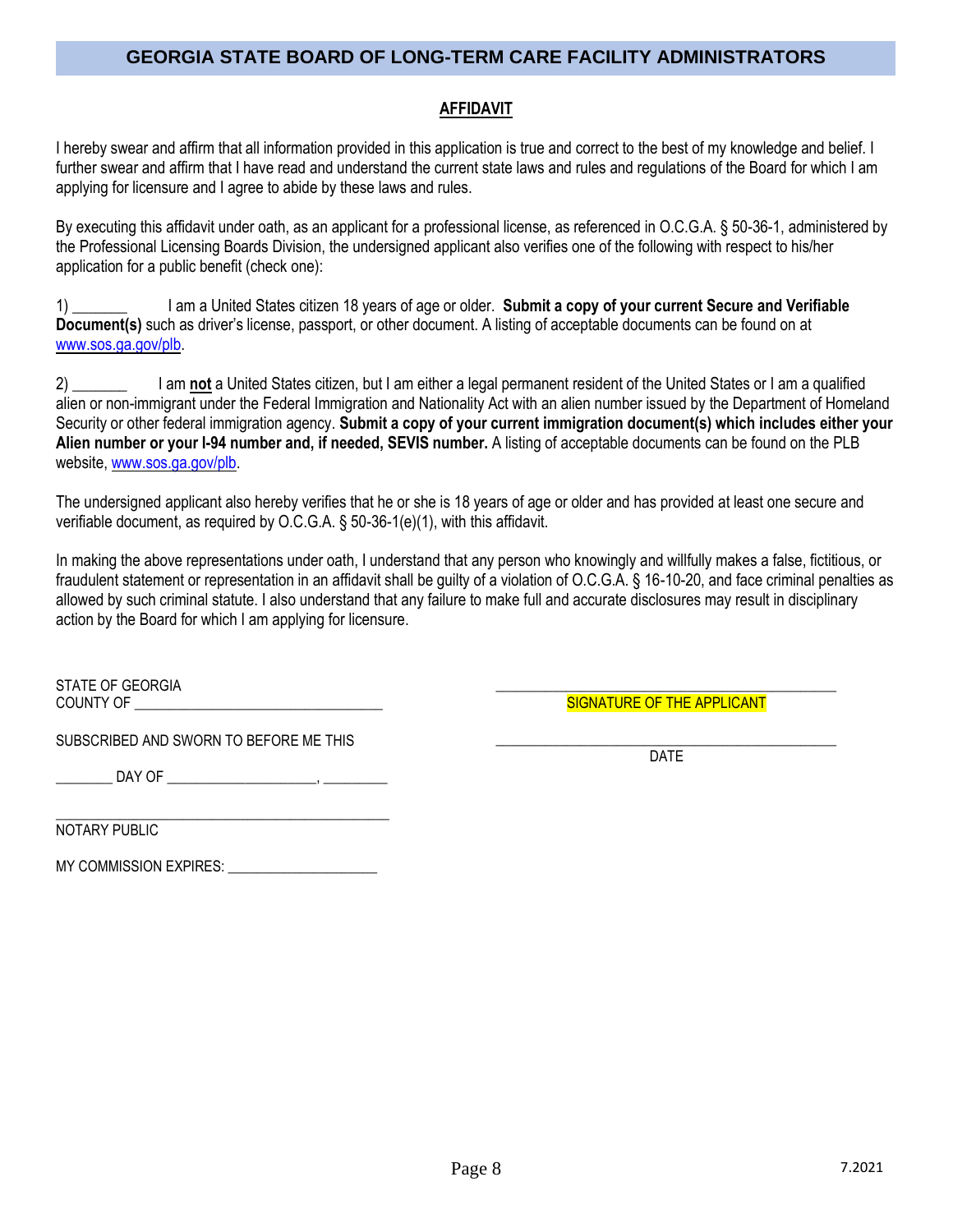### **AFFIDAVIT**

I hereby swear and affirm that all information provided in this application is true and correct to the best of my knowledge and belief. I further swear and affirm that I have read and understand the current state laws and rules and regulations of the Board for which I am applying for licensure and I agree to abide by these laws and rules.

By executing this affidavit under oath, as an applicant for a professional license, as referenced in O.C.G.A. § 50-36-1, administered by the Professional Licensing Boards Division, the undersigned applicant also verifies one of the following with respect to his/her application for a public benefit (check one):

1) \_\_\_\_\_\_\_ I am a United States citizen 18 years of age or older. **Submit a copy of your current Secure and Verifiable Document(s)** such as driver's license, passport, or other document. A listing of acceptable documents can be found on at [www.sos.ga.gov/plb.](http://www.sos.ga.gov/plb)

2) \_\_\_\_\_\_\_ I am **not** a United States citizen, but I am either a legal permanent resident of the United States or I am a qualified alien or non-immigrant under the Federal Immigration and Nationality Act with an alien number issued by the Department of Homeland Security or other federal immigration agency. **Submit a copy of your current immigration document(s) which includes either your Alien number or your I-94 number and, if needed, SEVIS number.** A listing of acceptable documents can be found on the PLB website[, www.sos.ga.gov/plb.](http://www.sos.ga.gov/plb)

The undersigned applicant also hereby verifies that he or she is 18 years of age or older and has provided at least one secure and verifiable document, as required by O.C.G.A. § 50-36-1(e)(1), with this affidavit.

In making the above representations under oath, I understand that any person who knowingly and willfully makes a false, fictitious, or fraudulent statement or representation in an affidavit shall be guilty of a violation of O.C.G.A. § 16-10-20, and face criminal penalties as allowed by such criminal statute. I also understand that any failure to make full and accurate disclosures may result in disciplinary action by the Board for which I am applying for licensure.

STATE OF GEORGIA COUNTY OF \_\_\_\_\_\_\_\_\_\_\_\_\_\_\_\_\_\_\_\_\_\_\_\_\_\_\_\_\_\_\_\_\_\_\_

SUBSCRIBED AND SWORN TO BEFORE ME THIS

\_\_\_\_\_\_\_\_ DAY OF \_\_\_\_\_\_\_\_\_\_\_\_\_\_\_\_\_\_\_\_\_, \_\_\_\_\_\_\_\_\_

\_\_\_\_\_\_\_\_\_\_\_\_\_\_\_\_\_\_\_\_\_\_\_\_\_\_\_\_\_\_\_\_\_\_\_\_\_\_\_\_\_\_\_\_\_\_\_ NOTARY PUBLIC

MY COMMISSION EXPIRES: \_\_\_\_\_\_\_\_\_\_\_\_\_\_\_\_\_\_\_\_\_

SIGNATURE OF THE APPLICANT \_\_\_\_\_\_\_\_\_\_\_\_\_\_\_\_\_\_\_\_\_\_\_\_\_\_\_\_\_\_\_\_\_\_\_\_\_\_\_\_\_\_\_\_\_\_\_\_

\_\_\_\_\_\_\_\_\_\_\_\_\_\_\_\_\_\_\_\_\_\_\_\_\_\_\_\_\_\_\_\_\_\_\_\_\_\_\_\_\_\_\_\_\_\_\_\_

DATE